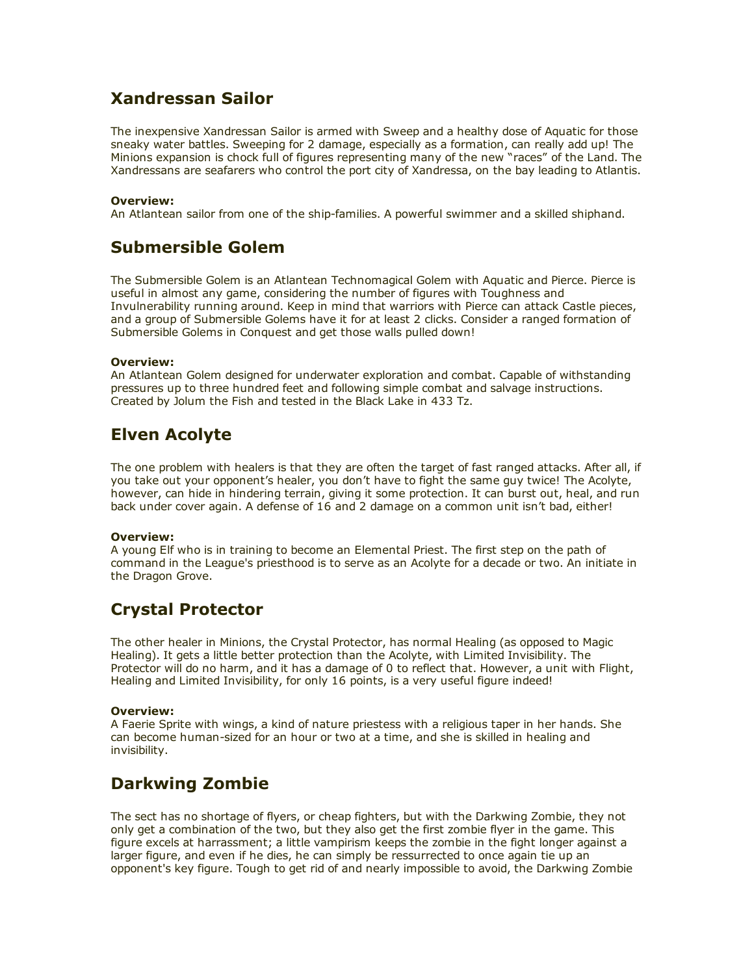# Xandressan Sailor

The inexpensive Xandressan Sailor is armed with Sweep and a healthy dose of Aquatic for those sneaky water battles. Sweeping for 2 damage, especially as a formation, can really add up! The Minions expansion is chock full of figures representing many of the new "races" of the Land. The Xandressans are seafarers who control the port city of Xandressa, on the bay leading to Atlantis.

## Overview:

An Atlantean sailor from one of the ship-families. A powerful swimmer and a skilled shiphand.

## Submersible Golem

The Submersible Golem is an Atlantean Technomagical Golem with Aquatic and Pierce. Pierce is useful in almost any game, considering the number of figures with Toughness and Invulnerability running around. Keep in mind that warriors with Pierce can attack Castle pieces, and a group of Submersible Golems have it for at least 2 clicks. Consider a ranged formation of Submersible Golems in Conquest and get those walls pulled down!

### Overview:

An Atlantean Golem designed for underwater exploration and combat. Capable of withstanding pressures up to three hundred feet and following simple combat and salvage instructions. Created by Jolum the Fish and tested in the Black Lake in 433 Tz.

# Elven Acolyte

The one problem with healers is that they are often the target of fast ranged attacks. After all, if you take out your opponent's healer, you don't have to fight the same guy twice! The Acolyte, however, can hide in hindering terrain, giving it some protection. It can burst out, heal, and run back under cover again. A defense of 16 and 2 damage on a common unit isn't bad, either!

### Overview:

A young Elf who is in training to become an Elemental Priest. The first step on the path of command in the League's priesthood is to serve as an Acolyte for a decade or two. An initiate in the Dragon Grove.

# Crystal Protector

The other healer in Minions, the Crystal Protector, has normal Healing (as opposed to Magic Healing). It gets a little better protection than the Acolyte, with Limited Invisibility. The Protector will do no harm, and it has a damage of 0 to reflect that. However, a unit with Flight, Healing and Limited Invisibility, for only 16 points, is a very useful figure indeed!

### Overview:

A Faerie Sprite with wings, a kind of nature priestess with a religious taper in her hands. She can become human-sized for an hour or two at a time, and she is skilled in healing and invisibility.

# Darkwing Zombie

The sect has no shortage of flyers, or cheap fighters, but with the Darkwing Zombie, they not only get a combination of the two, but they also get the first zombie flyer in the game. This figure excels at harrassment; a little vampirism keeps the zombie in the fight longer against a larger figure, and even if he dies, he can simply be ressurrected to once again tie up an opponent's key figure. Tough to get rid of and nearly impossible to avoid, the Darkwing Zombie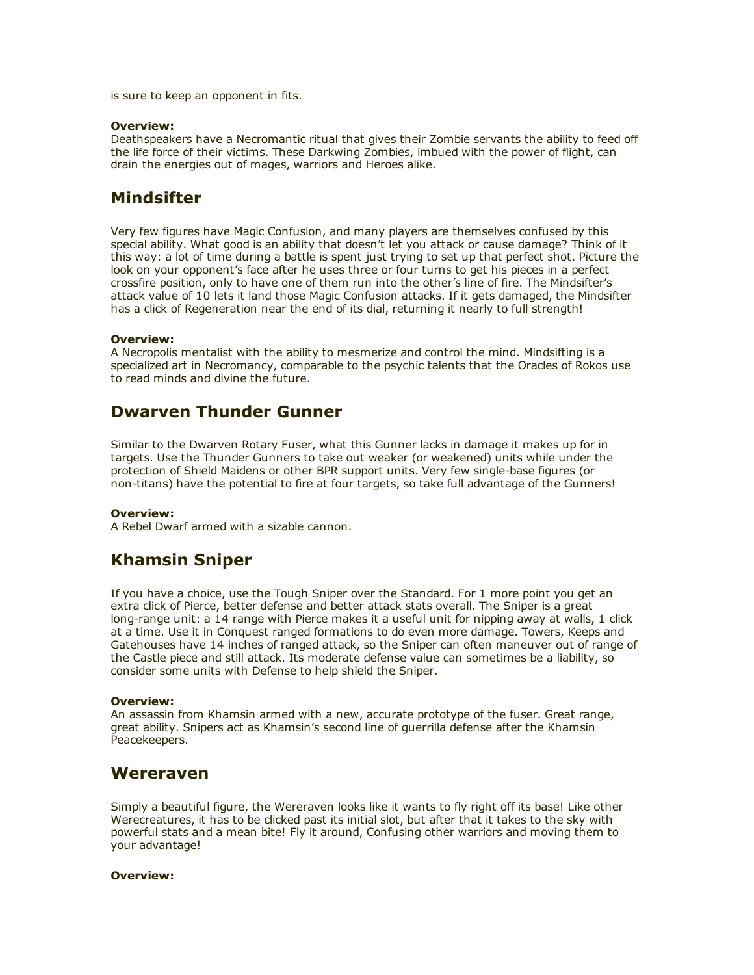is sure to keep an opponent in fits.

#### Overview:

Deathspeakers have a Necromantic ritual that gives their Zombie servants the ability to feed off the life force of their victims. These Darkwing Zombies, imbued with the power of flight, can drain the energies out of mages, warriors and Heroes alike.

# **Mindsifter**

Very few figures have Magic Confusion, and many players are themselves confused by this special ability. What good is an ability that doesn't let you attack or cause damage? Think of it this way: a lot of time during a battle is spent just trying to set up that perfect shot. Picture the look on your opponent's face after he uses three or four turns to get his pieces in a perfect crossfire position, only to have one of them run into the other's line of fire. The Mindsifter's attack value of 10 lets it land those Magic Confusion attacks. If it gets damaged, the Mindsifter has a click of Regeneration near the end of its dial, returning it nearly to full strength!

### Overview:

A Necropolis mentalist with the ability to mesmerize and control the mind. Mindsifting is a specialized art in Necromancy, comparable to the psychic talents that the Oracles of Rokos use to read minds and divine the future.

## Dwarven Thunder Gunner

Similar to the Dwarven Rotary Fuser, what this Gunner lacks in damage it makes up for in targets. Use the Thunder Gunners to take out weaker (or weakened) units while under the protection of Shield Maidens or other BPR support units. Very few single-base figures (or non-titans) have the potential to fire at four targets, so take full advantage of the Gunners!

### Overview:

A Rebel Dwarf armed with a sizable cannon.

# Khamsin Sniper

If you have a choice, use the Tough Sniper over the Standard. For 1 more point you get an extra click of Pierce, better defense and better attack stats overall. The Sniper is a great long-range unit: a 14 range with Pierce makes it a useful unit for nipping away at walls, 1 click at a time. Use it in Conquest ranged formations to do even more damage. Towers, Keeps and Gatehouses have 14 inches of ranged attack, so the Sniper can often maneuver out of range of the Castle piece and still attack. Its moderate defense value can sometimes be a liability, so consider some units with Defense to help shield the Sniper.

### Overview:

An assassin from Khamsin armed with a new, accurate prototype of the fuser. Great range, great ability. Snipers act as Khamsin's second line of guerrilla defense after the Khamsin Peacekeepers.

## Wereraven

Simply a beautiful figure, the Wereraven looks like it wants to fly right off its base! Like other Werecreatures, it has to be clicked past its initial slot, but after that it takes to the sky with powerful stats and a mean bite! Fly it around, Confusing other warriors and moving them to your advantage!

### Overview: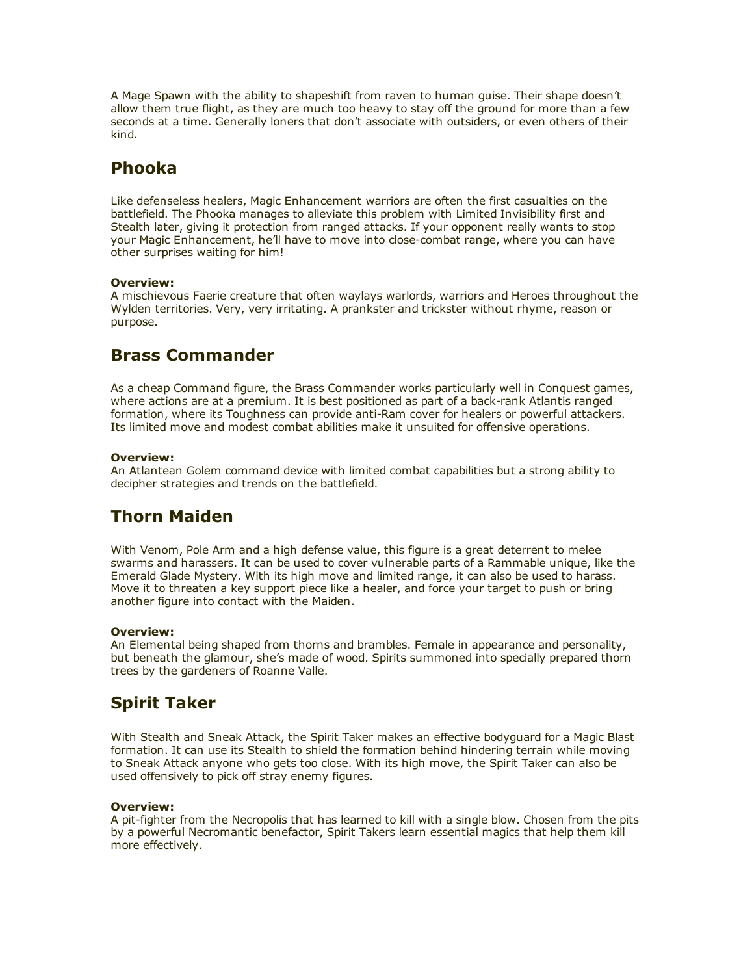A Mage Spawn with the ability to shapeshift from raven to human guise. Their shape doesn't allow them true flight, as they are much too heavy to stay off the ground for more than a few seconds at a time. Generally loners that don't associate with outsiders, or even others of their kind.

# Phooka

Like defenseless healers, Magic Enhancement warriors are often the first casualties on the battlefield. The Phooka manages to alleviate this problem with Limited Invisibility first and Stealth later, giving it protection from ranged attacks. If your opponent really wants to stop your Magic Enhancement, he'll have to move into close-combat range, where you can have other surprises waiting for him!

## Overview:

A mischievous Faerie creature that often waylays warlords, warriors and Heroes throughout the Wylden territories. Very, very irritating. A prankster and trickster without rhyme, reason or purpose.

# Brass Commander

As a cheap Command figure, the Brass Commander works particularly well in Conquest games, where actions are at a premium. It is best positioned as part of a back-rank Atlantis ranged formation, where its Toughness can provide anti-Ram cover for healers or powerful attackers. Its limited move and modest combat abilities make it unsuited for offensive operations.

## Overview:

An Atlantean Golem command device with limited combat capabilities but a strong ability to decipher strategies and trends on the battlefield.

# Thorn Maiden

With Venom, Pole Arm and a high defense value, this figure is a great deterrent to melee swarms and harassers. It can be used to cover vulnerable parts of a Rammable unique, like the Emerald Glade Mystery. With its high move and limited range, it can also be used to harass. Move it to threaten a key support piece like a healer, and force your target to push or bring another figure into contact with the Maiden.

## Overview:

An Elemental being shaped from thorns and brambles. Female in appearance and personality, but beneath the glamour, she's made of wood. Spirits summoned into specially prepared thorn trees by the gardeners of Roanne Valle.

# Spirit Taker

With Stealth and Sneak Attack, the Spirit Taker makes an effective bodyguard for a Magic Blast formation. It can use its Stealth to shield the formation behind hindering terrain while moving to Sneak Attack anyone who gets too close. With its high move, the Spirit Taker can also be used offensively to pick off stray enemy figures.

## Overview:

A pit-fighter from the Necropolis that has learned to kill with a single blow. Chosen from the pits by a powerful Necromantic benefactor, Spirit Takers learn essential magics that help them kill more effectively.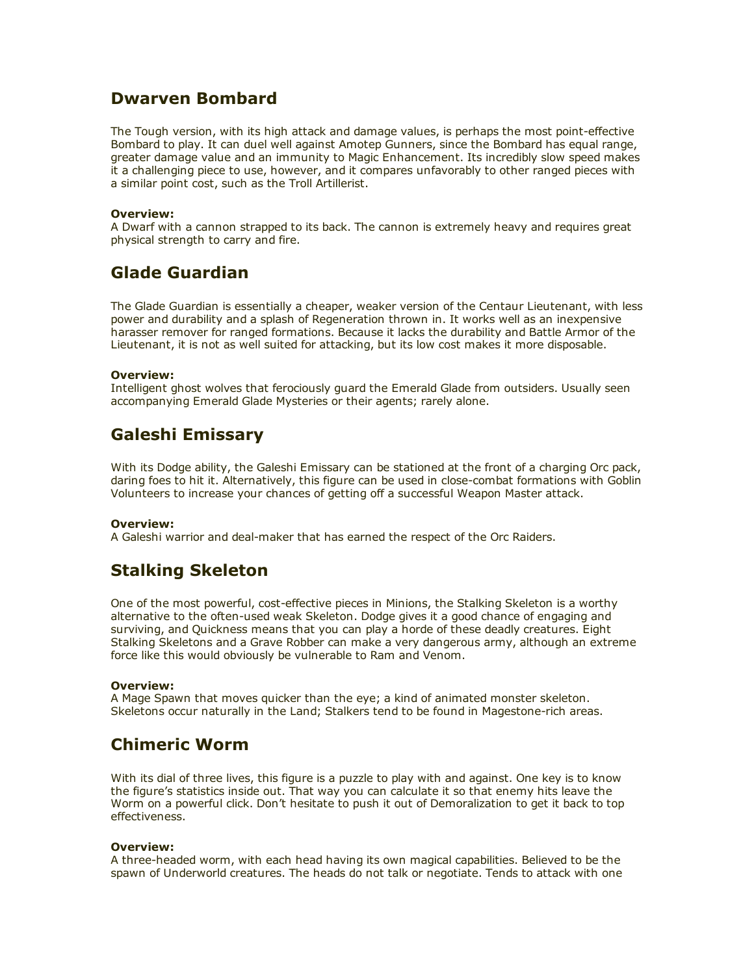## Dwarven Bombard

The Tough version, with its high attack and damage values, is perhaps the most point-effective Bombard to play. It can duel well against Amotep Gunners, since the Bombard has equal range, greater damage value and an immunity to Magic Enhancement. Its incredibly slow speed makes it a challenging piece to use, however, and it compares unfavorably to other ranged pieces with a similar point cost, such as the Troll Artillerist.

## Overview:

A Dwarf with a cannon strapped to its back. The cannon is extremely heavy and requires great physical strength to carry and fire.

# Glade Guardian

The Glade Guardian is essentially a cheaper, weaker version of the Centaur Lieutenant, with less power and durability and a splash of Regeneration thrown in. It works well as an inexpensive harasser remover for ranged formations. Because it lacks the durability and Battle Armor of the Lieutenant, it is not as well suited for attacking, but its low cost makes it more disposable.

## Overview:

Intelligent ghost wolves that ferociously guard the Emerald Glade from outsiders. Usually seen accompanying Emerald Glade Mysteries or their agents; rarely alone.

# Galeshi Emissary

With its Dodge ability, the Galeshi Emissary can be stationed at the front of a charging Orc pack, daring foes to hit it. Alternatively, this figure can be used in close-combat formations with Goblin Volunteers to increase your chances of getting off a successful Weapon Master attack.

### Overview:

A Galeshi warrior and deal-maker that has earned the respect of the Orc Raiders.

# Stalking Skeleton

One of the most powerful, cost-effective pieces in Minions, the Stalking Skeleton is a worthy alternative to the often-used weak Skeleton. Dodge gives it a good chance of engaging and surviving, and Quickness means that you can play a horde of these deadly creatures. Eight Stalking Skeletons and a Grave Robber can make a very dangerous army, although an extreme force like this would obviously be vulnerable to Ram and Venom.

### Overview:

A Mage Spawn that moves quicker than the eye; a kind of animated monster skeleton. Skeletons occur naturally in the Land; Stalkers tend to be found in Magestone-rich areas.

## Chimeric Worm

With its dial of three lives, this figure is a puzzle to play with and against. One key is to know the figure's statistics inside out. That way you can calculate it so that enemy hits leave the Worm on a powerful click. Don't hesitate to push it out of Demoralization to get it back to top effectiveness.

### Overview:

A three-headed worm, with each head having its own magical capabilities. Believed to be the spawn of Underworld creatures. The heads do not talk or negotiate. Tends to attack with one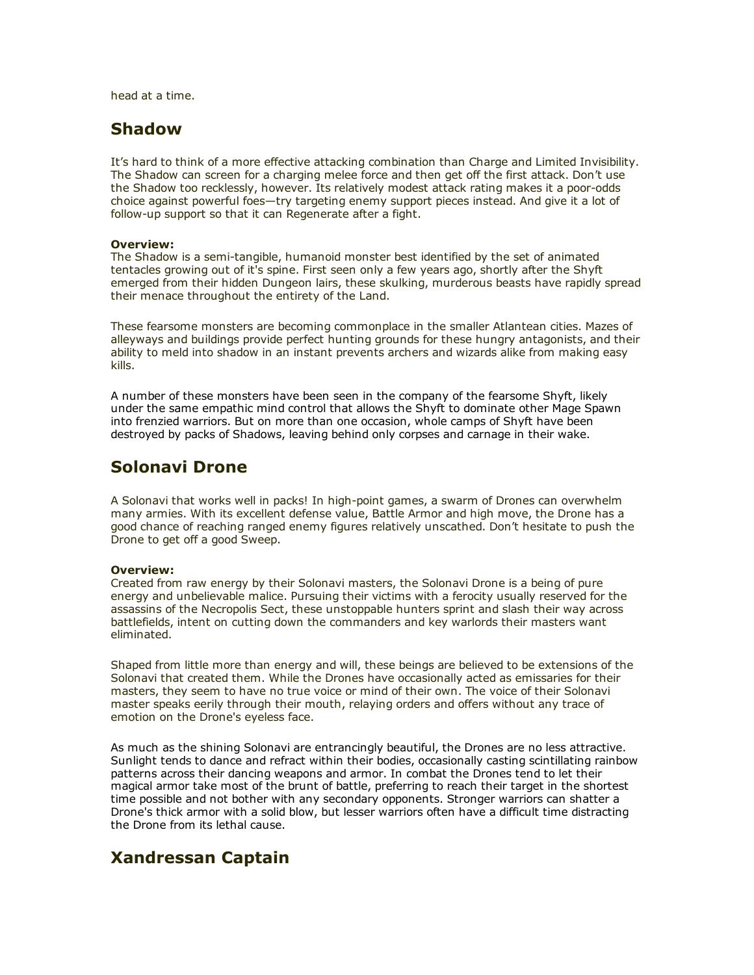head at a time.

## Shadow

It's hard to think of a more effective attacking combination than Charge and Limited Invisibility. The Shadow can screen for a charging melee force and then get off the first attack. Don't use the Shadow too recklessly, however. Its relatively modest attack rating makes it a poor-odds choice against powerful foes—try targeting enemy support pieces instead. And give it a lot of follow-up support so that it can Regenerate after a fight.

### Overview:

The Shadow is a semi-tangible, humanoid monster best identified by the set of animated tentacles growing out of it's spine. First seen only a few years ago, shortly after the Shyft emerged from their hidden Dungeon lairs, these skulking, murderous beasts have rapidly spread their menace throughout the entirety of the Land.

These fearsome monsters are becoming commonplace in the smaller Atlantean cities. Mazes of alleyways and buildings provide perfect hunting grounds for these hungry antagonists, and their ability to meld into shadow in an instant prevents archers and wizards alike from making easy kills.

A number of these monsters have been seen in the company of the fearsome Shyft, likely under the same empathic mind control that allows the Shyft to dominate other Mage Spawn into frenzied warriors. But on more than one occasion, whole camps of Shyft have been destroyed by packs of Shadows, leaving behind only corpses and carnage in their wake.

## Solonavi Drone

A Solonavi that works well in packs! In high-point games, a swarm of Drones can overwhelm many armies. With its excellent defense value, Battle Armor and high move, the Drone has a good chance of reaching ranged enemy figures relatively unscathed. Don't hesitate to push the Drone to get off a good Sweep.

### Overview:

Created from raw energy by their Solonavi masters, the Solonavi Drone is a being of pure energy and unbelievable malice. Pursuing their victims with a ferocity usually reserved for the assassins of the Necropolis Sect, these unstoppable hunters sprint and slash their way across battlefields, intent on cutting down the commanders and key warlords their masters want eliminated.

Shaped from little more than energy and will, these beings are believed to be extensions of the Solonavi that created them. While the Drones have occasionally acted as emissaries for their masters, they seem to have no true voice or mind of their own. The voice of their Solonavi master speaks eerily through their mouth, relaying orders and offers without any trace of emotion on the Drone's eyeless face.

As much as the shining Solonavi are entrancingly beautiful, the Drones are no less attractive. Sunlight tends to dance and refract within their bodies, occasionally casting scintillating rainbow patterns across their dancing weapons and armor. In combat the Drones tend to let their magical armor take most of the brunt of battle, preferring to reach their target in the shortest time possible and not bother with any secondary opponents. Stronger warriors can shatter a Drone's thick armor with a solid blow, but lesser warriors often have a difficult time distracting the Drone from its lethal cause.

## Xandressan Captain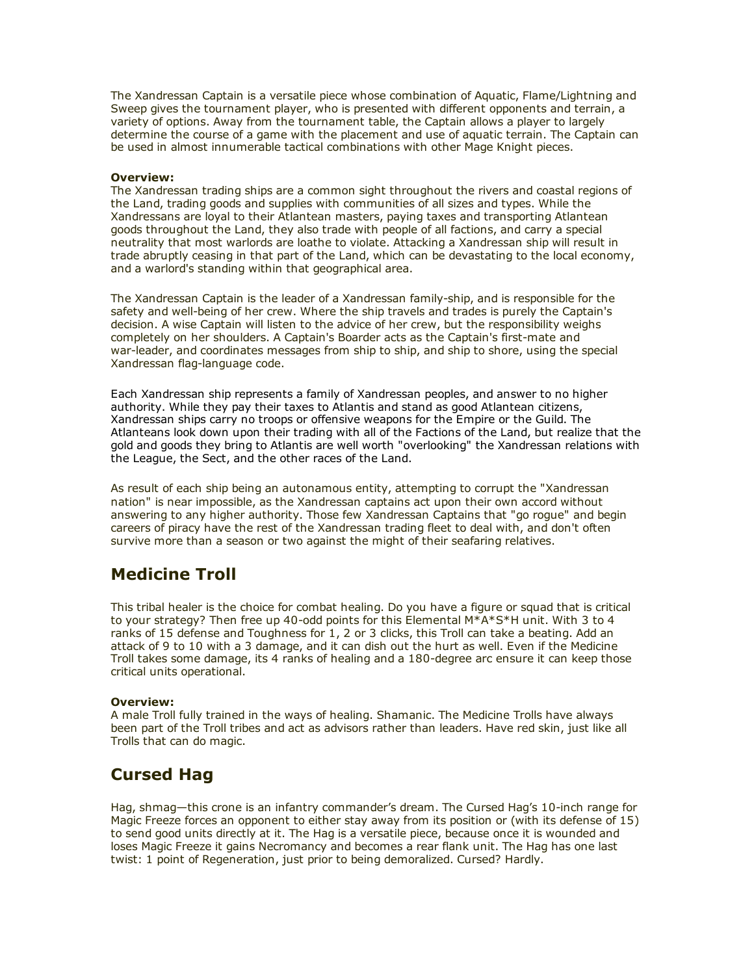The Xandressan Captain is a versatile piece whose combination of Aquatic, Flame/Lightning and Sweep gives the tournament player, who is presented with different opponents and terrain, a variety of options. Away from the tournament table, the Captain allows a player to largely determine the course of a game with the placement and use of aquatic terrain. The Captain can be used in almost innumerable tactical combinations with other Mage Knight pieces.

#### Overview:

The Xandressan trading ships are a common sight throughout the rivers and coastal regions of the Land, trading goods and supplies with communities of all sizes and types. While the Xandressans are loyal to their Atlantean masters, paying taxes and transporting Atlantean goods throughout the Land, they also trade with people of all factions, and carry a special neutrality that most warlords are loathe to violate. Attacking a Xandressan ship will result in trade abruptly ceasing in that part of the Land, which can be devastating to the local economy, and a warlord's standing within that geographical area.

The Xandressan Captain is the leader of a Xandressan family-ship, and is responsible for the safety and well-being of her crew. Where the ship travels and trades is purely the Captain's decision. A wise Captain will listen to the advice of her crew, but the responsibility weighs completely on her shoulders. A Captain's Boarder acts as the Captain's first-mate and war-leader, and coordinates messages from ship to ship, and ship to shore, using the special Xandressan flag-language code.

Each Xandressan ship represents a family of Xandressan peoples, and answer to no higher authority. While they pay their taxes to Atlantis and stand as good Atlantean citizens, Xandressan ships carry no troops or offensive weapons for the Empire or the Guild. The Atlanteans look down upon their trading with all of the Factions of the Land, but realize that the gold and goods they bring to Atlantis are well worth "overlooking" the Xandressan relations with the League, the Sect, and the other races of the Land.

As result of each ship being an autonamous entity, attempting to corrupt the "Xandressan nation" is near impossible, as the Xandressan captains act upon their own accord without answering to any higher authority. Those few Xandressan Captains that "go rogue" and begin careers of piracy have the rest of the Xandressan trading fleet to deal with, and don't often survive more than a season or two against the might of their seafaring relatives.

# Medicine Troll

This tribal healer is the choice for combat healing. Do you have a figure or squad that is critical to your strategy? Then free up 40-odd points for this Elemental  $M^*A^*S^*H$  unit. With 3 to 4 ranks of 15 defense and Toughness for 1, 2 or 3 clicks, this Troll can take a beating. Add an attack of 9 to 10 with a 3 damage, and it can dish out the hurt as well. Even if the Medicine Troll takes some damage, its 4 ranks of healing and a 180-degree arc ensure it can keep those critical units operational.

### Overview:

A male Troll fully trained in the ways of healing. Shamanic. The Medicine Trolls have always been part of the Troll tribes and act as advisors rather than leaders. Have red skin, just like all Trolls that can do magic.

## Cursed Hag

Hag, shmag—this crone is an infantry commander's dream. The Cursed Hag's 10-inch range for Magic Freeze forces an opponent to either stay away from its position or (with its defense of 15) to send good units directly at it. The Hag is a versatile piece, because once it is wounded and loses Magic Freeze it gains Necromancy and becomes a rear flank unit. The Hag has one last twist: 1 point of Regeneration, just prior to being demoralized. Cursed? Hardly.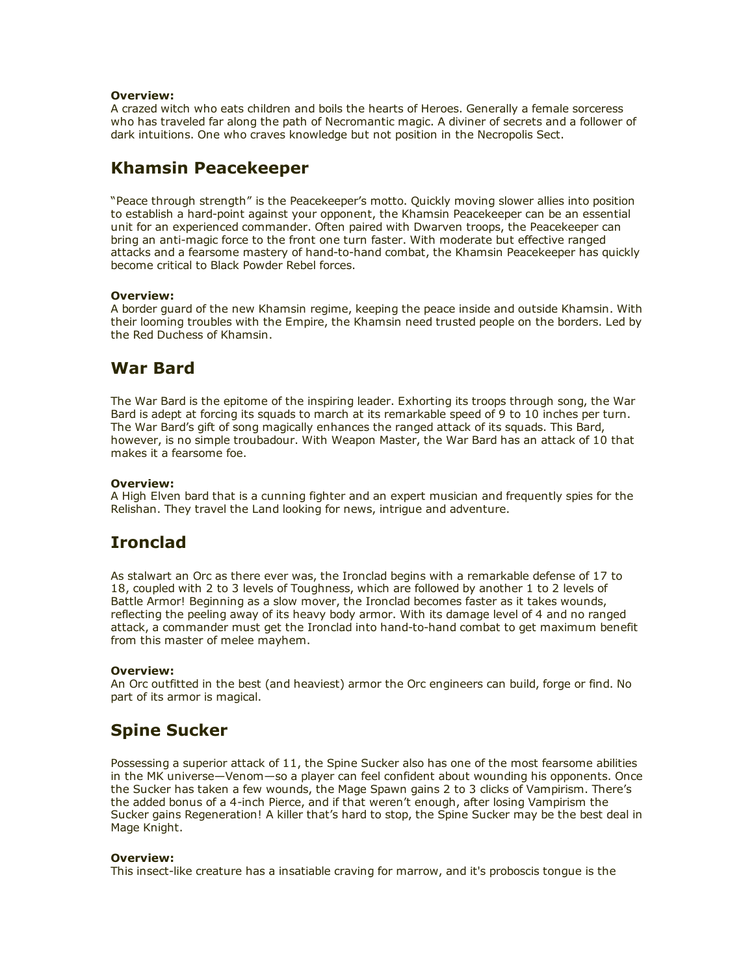### Overview:

A crazed witch who eats children and boils the hearts of Heroes. Generally a female sorceress who has traveled far along the path of Necromantic magic. A diviner of secrets and a follower of dark intuitions. One who craves knowledge but not position in the Necropolis Sect.

# Khamsin Peacekeeper

"Peace through strength" is the Peacekeeper's motto. Quickly moving slower allies into position to establish a hard-point against your opponent, the Khamsin Peacekeeper can be an essential unit for an experienced commander. Often paired with Dwarven troops, the Peacekeeper can bring an anti-magic force to the front one turn faster. With moderate but effective ranged attacks and a fearsome mastery of hand-to-hand combat, the Khamsin Peacekeeper has quickly become critical to Black Powder Rebel forces.

## Overview:

A border guard of the new Khamsin regime, keeping the peace inside and outside Khamsin. With their looming troubles with the Empire, the Khamsin need trusted people on the borders. Led by the Red Duchess of Khamsin.

## War Bard

The War Bard is the epitome of the inspiring leader. Exhorting its troops through song, the War Bard is adept at forcing its squads to march at its remarkable speed of 9 to 10 inches per turn. The War Bard's gift of song magically enhances the ranged attack of its squads. This Bard, however, is no simple troubadour. With Weapon Master, the War Bard has an attack of 10 that makes it a fearsome foe.

## Overview:

A High Elven bard that is a cunning fighter and an expert musician and frequently spies for the Relishan. They travel the Land looking for news, intrigue and adventure.

# Ironclad

As stalwart an Orc as there ever was, the Ironclad begins with a remarkable defense of 17 to 18, coupled with 2 to 3 levels of Toughness, which are followed by another 1 to 2 levels of Battle Armor! Beginning as a slow mover, the Ironclad becomes faster as it takes wounds, reflecting the peeling away of its heavy body armor. With its damage level of 4 and no ranged attack, a commander must get the Ironclad into hand-to-hand combat to get maximum benefit from this master of melee mayhem.

## Overview:

An Orc outfitted in the best (and heaviest) armor the Orc engineers can build, forge or find. No part of its armor is magical.

# Spine Sucker

Possessing a superior attack of 11, the Spine Sucker also has one of the most fearsome abilities in the MK universe—Venom—so a player can feel confident about wounding his opponents. Once the Sucker has taken a few wounds, the Mage Spawn gains 2 to 3 clicks of Vampirism. There's the added bonus of a 4-inch Pierce, and if that weren't enough, after losing Vampirism the Sucker gains Regeneration! A killer that's hard to stop, the Spine Sucker may be the best deal in Mage Knight.

### Overview:

This insect-like creature has a insatiable craving for marrow, and it's proboscis tongue is the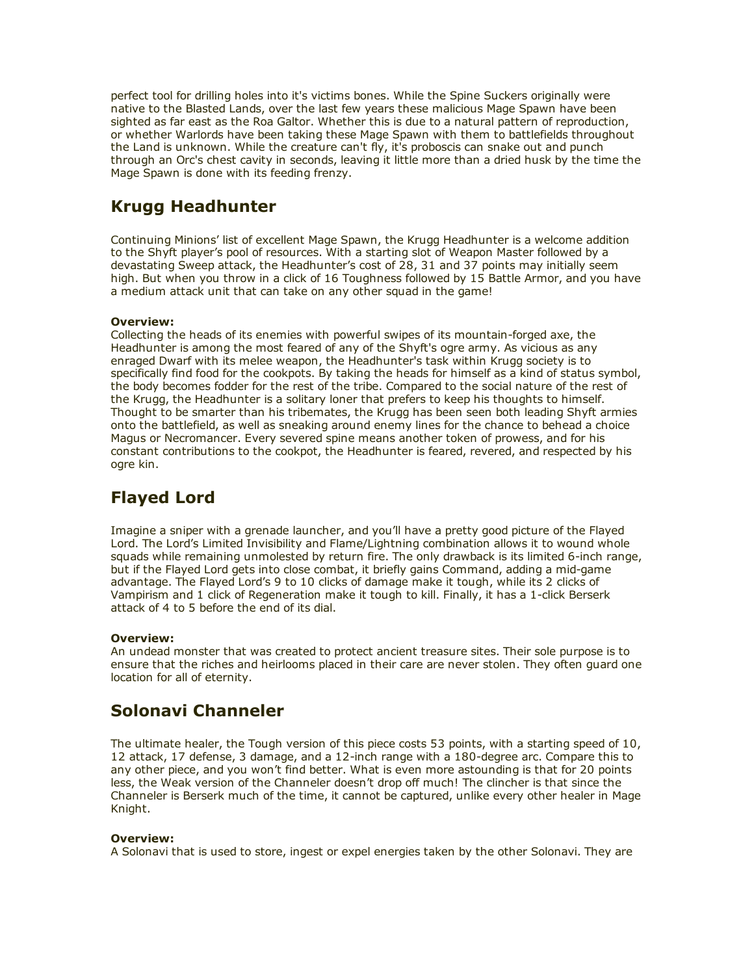perfect tool for drilling holes into it's victims bones. While the Spine Suckers originally were native to the Blasted Lands, over the last few years these malicious Mage Spawn have been sighted as far east as the Roa Galtor. Whether this is due to a natural pattern of reproduction, or whether Warlords have been taking these Mage Spawn with them to battlefields throughout the Land is unknown. While the creature can't fly, it's proboscis can snake out and punch through an Orc's chest cavity in seconds, leaving it little more than a dried husk by the time the Mage Spawn is done with its feeding frenzy.

# Krugg Headhunter

Continuing Minions' list of excellent Mage Spawn, the Krugg Headhunter is a welcome addition to the Shyft player's pool of resources. With a starting slot of Weapon Master followed by a devastating Sweep attack, the Headhunter's cost of 28, 31 and 37 points may initially seem high. But when you throw in a click of 16 Toughness followed by 15 Battle Armor, and you have a medium attack unit that can take on any other squad in the game!

## Overview:

Collecting the heads of its enemies with powerful swipes of its mountain-forged axe, the Headhunter is among the most feared of any of the Shyft's ogre army. As vicious as any enraged Dwarf with its melee weapon, the Headhunter's task within Krugg society is to specifically find food for the cookpots. By taking the heads for himself as a kind of status symbol, the body becomes fodder for the rest of the tribe. Compared to the social nature of the rest of the Krugg, the Headhunter is a solitary loner that prefers to keep his thoughts to himself. Thought to be smarter than his tribemates, the Krugg has been seen both leading Shyft armies onto the battlefield, as well as sneaking around enemy lines for the chance to behead a choice Magus or Necromancer. Every severed spine means another token of prowess, and for his constant contributions to the cookpot, the Headhunter is feared, revered, and respected by his ogre kin.

# Flayed Lord

Imagine a sniper with a grenade launcher, and you'll have a pretty good picture of the Flayed Lord. The Lord's Limited Invisibility and Flame/Lightning combination allows it to wound whole squads while remaining unmolested by return fire. The only drawback is its limited 6-inch range, but if the Flayed Lord gets into close combat, it briefly gains Command, adding a mid-game advantage. The Flayed Lord's 9 to 10 clicks of damage make it tough, while its 2 clicks of Vampirism and 1 click of Regeneration make it tough to kill. Finally, it has a 1-click Berserk attack of 4 to 5 before the end of its dial.

## Overview:

An undead monster that was created to protect ancient treasure sites. Their sole purpose is to ensure that the riches and heirlooms placed in their care are never stolen. They often guard one location for all of eternity.

# Solonavi Channeler

The ultimate healer, the Tough version of this piece costs 53 points, with a starting speed of 10, 12 attack, 17 defense, 3 damage, and a 12-inch range with a 180-degree arc. Compare this to any other piece, and you won't find better. What is even more astounding is that for 20 points less, the Weak version of the Channeler doesn't drop off much! The clincher is that since the Channeler is Berserk much of the time, it cannot be captured, unlike every other healer in Mage Knight.

## Overview:

A Solonavi that is used to store, ingest or expel energies taken by the other Solonavi. They are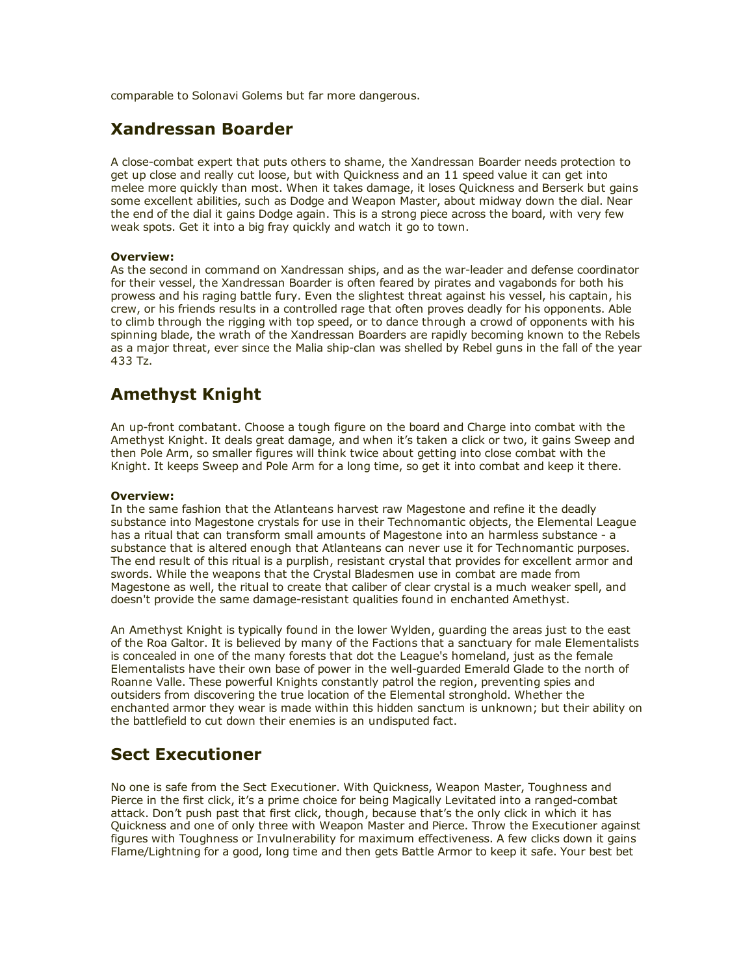comparable to Solonavi Golems but far more dangerous.

## Xandressan Boarder

A close-combat expert that puts others to shame, the Xandressan Boarder needs protection to get up close and really cut loose, but with Quickness and an 11 speed value it can get into melee more quickly than most. When it takes damage, it loses Quickness and Berserk but gains some excellent abilities, such as Dodge and Weapon Master, about midway down the dial. Near the end of the dial it gains Dodge again. This is a strong piece across the board, with very few weak spots. Get it into a big fray quickly and watch it go to town.

## Overview:

As the second in command on Xandressan ships, and as the war-leader and defense coordinator for their vessel, the Xandressan Boarder is often feared by pirates and vagabonds for both his prowess and his raging battle fury. Even the slightest threat against his vessel, his captain, his crew, or his friends results in a controlled rage that often proves deadly for his opponents. Able to climb through the rigging with top speed, or to dance through a crowd of opponents with his spinning blade, the wrath of the Xandressan Boarders are rapidly becoming known to the Rebels as a major threat, ever since the Malia ship-clan was shelled by Rebel guns in the fall of the year 433 Tz.

# Amethyst Knight

An up-front combatant. Choose a tough figure on the board and Charge into combat with the Amethyst Knight. It deals great damage, and when it's taken a click or two, it gains Sweep and then Pole Arm, so smaller figures will think twice about getting into close combat with the Knight. It keeps Sweep and Pole Arm for a long time, so get it into combat and keep it there.

### Overview:

In the same fashion that the Atlanteans harvest raw Magestone and refine it the deadly substance into Magestone crystals for use in their Technomantic objects, the Elemental League has a ritual that can transform small amounts of Magestone into an harmless substance - a substance that is altered enough that Atlanteans can never use it for Technomantic purposes. The end result of this ritual is a purplish, resistant crystal that provides for excellent armor and swords. While the weapons that the Crystal Bladesmen use in combat are made from Magestone as well, the ritual to create that caliber of clear crystal is a much weaker spell, and doesn't provide the same damage-resistant qualities found in enchanted Amethyst.

An Amethyst Knight is typically found in the lower Wylden, guarding the areas just to the east of the Roa Galtor. It is believed by many of the Factions that a sanctuary for male Elementalists is concealed in one of the many forests that dot the League's homeland, just as the female Elementalists have their own base of power in the well-quarded Emerald Glade to the north of Roanne Valle. These powerful Knights constantly patrol the region, preventing spies and outsiders from discovering the true location of the Elemental stronghold. Whether the enchanted armor they wear is made within this hidden sanctum is unknown; but their ability on the battlefield to cut down their enemies is an undisputed fact.

# Sect Executioner

No one is safe from the Sect Executioner. With Quickness, Weapon Master, Toughness and Pierce in the first click, it's a prime choice for being Magically Levitated into a ranged-combat attack. Don't push past that first click, though, because that's the only click in which it has Quickness and one of only three with Weapon Master and Pierce. Throw the Executioner against figures with Toughness or Invulnerability for maximum effectiveness. A few clicks down it gains Flame/Lightning for a good, long time and then gets Battle Armor to keep it safe. Your best bet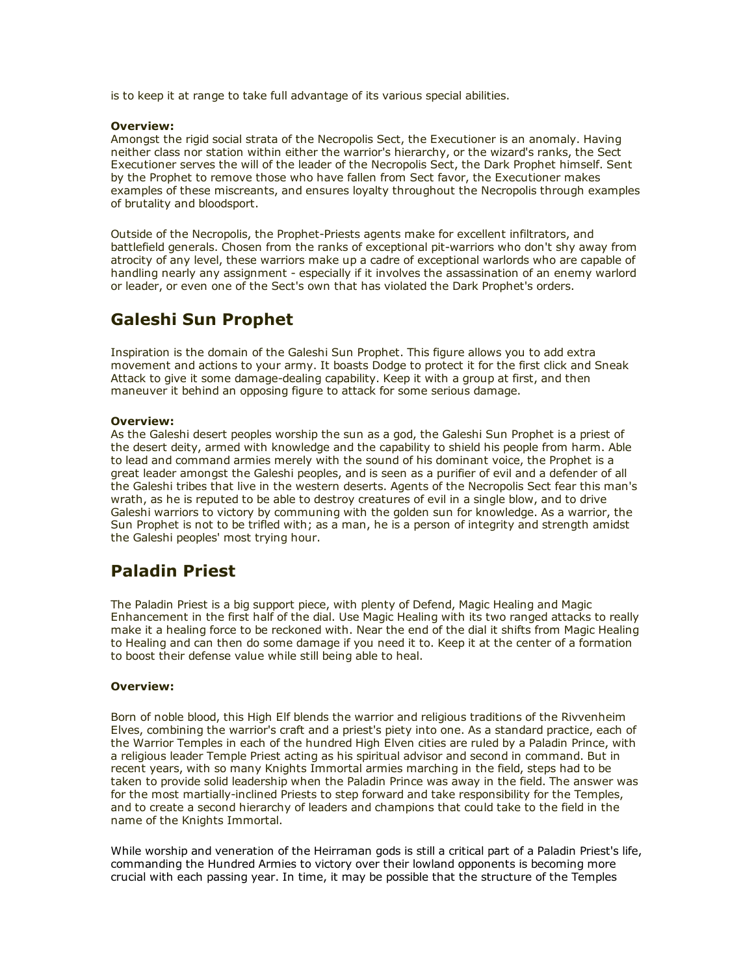is to keep it at range to take full advantage of its various special abilities.

#### Overview:

Amongst the rigid social strata of the Necropolis Sect, the Executioner is an anomaly. Having neither class nor station within either the warrior's hierarchy, or the wizard's ranks, the Sect Executioner serves the will of the leader of the Necropolis Sect, the Dark Prophet himself. Sent by the Prophet to remove those who have fallen from Sect favor, the Executioner makes examples of these miscreants, and ensures loyalty throughout the Necropolis through examples of brutality and bloodsport.

Outside of the Necropolis, the Prophet-Priests agents make for excellent infiltrators, and battlefield generals. Chosen from the ranks of exceptional pit-warriors who don't shy away from atrocity of any level, these warriors make up a cadre of exceptional warlords who are capable of handling nearly any assignment - especially if it involves the assassination of an enemy warlord or leader, or even one of the Sect's own that has violated the Dark Prophet's orders.

# Galeshi Sun Prophet

Inspiration is the domain of the Galeshi Sun Prophet. This figure allows you to add extra movement and actions to your army. It boasts Dodge to protect it for the first click and Sneak Attack to give it some damage-dealing capability. Keep it with a group at first, and then maneuver it behind an opposing figure to attack for some serious damage.

### Overview:

As the Galeshi desert peoples worship the sun as a god, the Galeshi Sun Prophet is a priest of the desert deity, armed with knowledge and the capability to shield his people from harm. Able to lead and command armies merely with the sound of his dominant voice, the Prophet is a great leader amongst the Galeshi peoples, and is seen as a purifier of evil and a defender of all the Galeshi tribes that live in the western deserts. Agents of the Necropolis Sect fear this man's wrath, as he is reputed to be able to destroy creatures of evil in a single blow, and to drive Galeshi warriors to victory by communing with the golden sun for knowledge. As a warrior, the Sun Prophet is not to be trifled with; as a man, he is a person of integrity and strength amidst the Galeshi peoples' most trying hour.

## Paladin Priest

The Paladin Priest is a big support piece, with plenty of Defend, Magic Healing and Magic Enhancement in the first half of the dial. Use Magic Healing with its two ranged attacks to really make it a healing force to be reckoned with. Near the end of the dial it shifts from Magic Healing to Healing and can then do some damage if you need it to. Keep it at the center of a formation to boost their defense value while still being able to heal.

### Overview:

Born of noble blood, this High Elf blends the warrior and religious traditions of the Rivvenheim Elves, combining the warrior's craft and a priest's piety into one. As a standard practice, each of the Warrior Temples in each of the hundred High Elven cities are ruled by a Paladin Prince, with a religious leader Temple Priest acting as his spiritual advisor and second in command. But in recent years, with so many Knights Immortal armies marching in the field, steps had to be taken to provide solid leadership when the Paladin Prince was away in the field. The answer was for the most martially-inclined Priests to step forward and take responsibility for the Temples, and to create a second hierarchy of leaders and champions that could take to the field in the name of the Knights Immortal.

While worship and veneration of the Heirraman gods is still a critical part of a Paladin Priest's life, commanding the Hundred Armies to victory over their lowland opponents is becoming more crucial with each passing year. In time, it may be possible that the structure of the Temples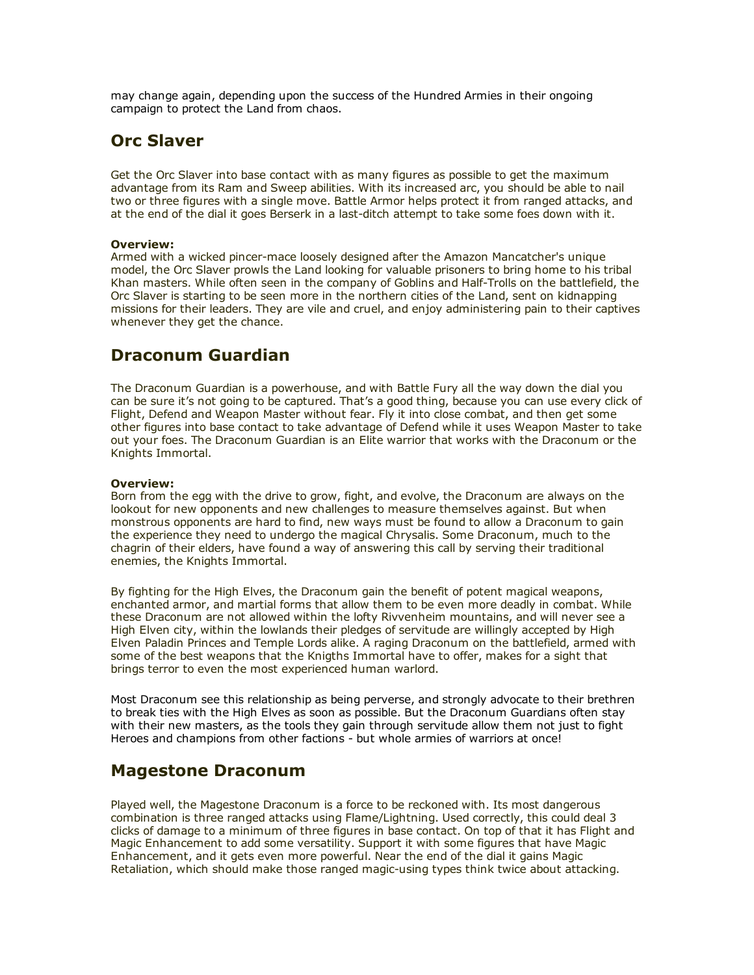may change again, depending upon the success of the Hundred Armies in their ongoing campaign to protect the Land from chaos.

# Orc Slaver

Get the Orc Slaver into base contact with as many figures as possible to get the maximum advantage from its Ram and Sweep abilities. With its increased arc, you should be able to nail two or three figures with a single move. Battle Armor helps protect it from ranged attacks, and at the end of the dial it goes Berserk in a last-ditch attempt to take some foes down with it.

## Overview:

Armed with a wicked pincer-mace loosely designed after the Amazon Mancatcher's unique model, the Orc Slaver prowls the Land looking for valuable prisoners to bring home to his tribal Khan masters. While often seen in the company of Goblins and Half-Trolls on the battlefield, the Orc Slaver is starting to be seen more in the northern cities of the Land, sent on kidnapping missions for their leaders. They are vile and cruel, and enjoy administering pain to their captives whenever they get the chance.

## Draconum Guardian

The Draconum Guardian is a powerhouse, and with Battle Fury all the way down the dial you can be sure it's not going to be captured. That's a good thing, because you can use every click of Flight, Defend and Weapon Master without fear. Fly it into close combat, and then get some other figures into base contact to take advantage of Defend while it uses Weapon Master to take out your foes. The Draconum Guardian is an Elite warrior that works with the Draconum or the Knights Immortal.

## Overview:

Born from the egg with the drive to grow, fight, and evolve, the Draconum are always on the lookout for new opponents and new challenges to measure themselves against. But when monstrous opponents are hard to find, new ways must be found to allow a Draconum to gain the experience they need to undergo the magical Chrysalis. Some Draconum, much to the chagrin of their elders, have found a way of answering this call by serving their traditional enemies, the Knights Immortal.

By fighting for the High Elves, the Draconum gain the benefit of potent magical weapons, enchanted armor, and martial forms that allow them to be even more deadly in combat. While these Draconum are not allowed within the lofty Rivvenheim mountains, and will never see a High Elven city, within the lowlands their pledges of servitude are willingly accepted by High Elven Paladin Princes and Temple Lords alike. A raging Draconum on the battlefield, armed with some of the best weapons that the Knigths Immortal have to offer, makes for a sight that brings terror to even the most experienced human warlord.

Most Draconum see this relationship as being perverse, and strongly advocate to their brethren to break ties with the High Elves as soon as possible. But the Draconum Guardians often stay with their new masters, as the tools they gain through servitude allow them not just to fight Heroes and champions from other factions - but whole armies of warriors at once!

## Magestone Draconum

Played well, the Magestone Draconum is a force to be reckoned with. Its most dangerous combination is three ranged attacks using Flame/Lightning. Used correctly, this could deal 3 clicks of damage to a minimum of three figures in base contact. On top of that it has Flight and Magic Enhancement to add some versatility. Support it with some figures that have Magic Enhancement, and it gets even more powerful. Near the end of the dial it gains Magic Retaliation, which should make those ranged magic-using types think twice about attacking.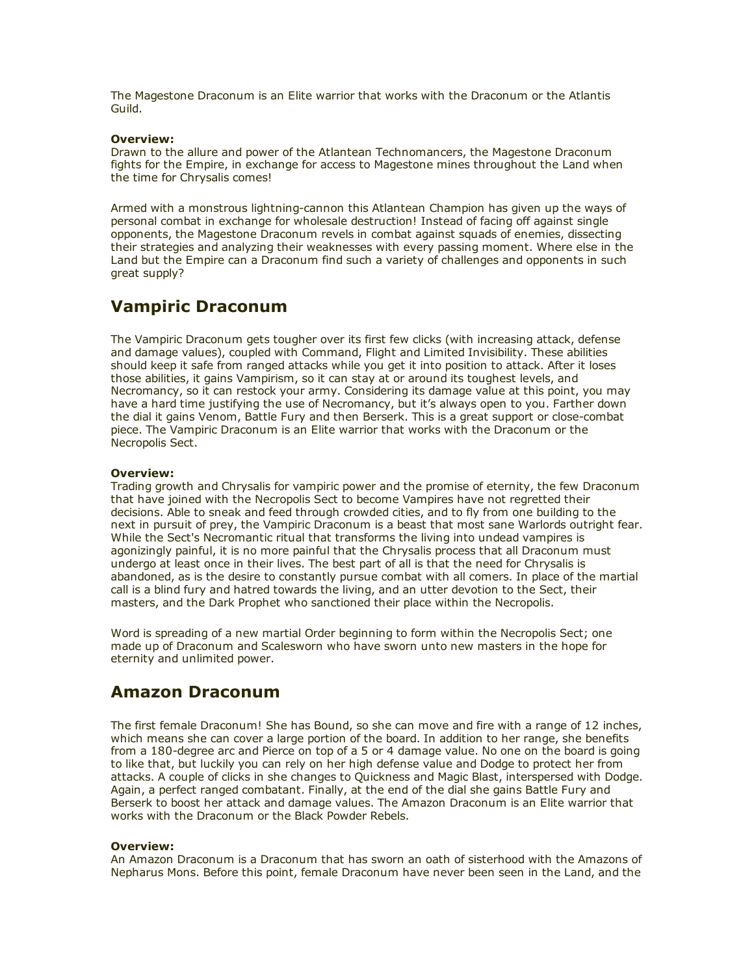The Magestone Draconum is an Elite warrior that works with the Draconum or the Atlantis Guild.

#### Overview:

Drawn to the allure and power of the Atlantean Technomancers, the Magestone Draconum fights for the Empire, in exchange for access to Magestone mines throughout the Land when the time for Chrysalis comes!

Armed with a monstrous lightning-cannon this Atlantean Champion has given up the ways of personal combat in exchange for wholesale destruction! Instead of facing off against single opponents, the Magestone Draconum revels in combat against squads of enemies, dissecting their strategies and analyzing their weaknesses with every passing moment. Where else in the Land but the Empire can a Draconum find such a variety of challenges and opponents in such great supply?

## Vampiric Draconum

The Vampiric Draconum gets tougher over its first few clicks (with increasing attack, defense and damage values), coupled with Command, Flight and Limited Invisibility. These abilities should keep it safe from ranged attacks while you get it into position to attack. After it loses those abilities, it gains Vampirism, so it can stay at or around its toughest levels, and Necromancy, so it can restock your army. Considering its damage value at this point, you may have a hard time justifying the use of Necromancy, but it's always open to you. Farther down the dial it gains Venom, Battle Fury and then Berserk. This is a great support or close-combat piece. The Vampiric Draconum is an Elite warrior that works with the Draconum or the Necropolis Sect.

#### Overview:

Trading growth and Chrysalis for vampiric power and the promise of eternity, the few Draconum that have joined with the Necropolis Sect to become Vampires have not regretted their decisions. Able to sneak and feed through crowded cities, and to fly from one building to the next in pursuit of prey, the Vampiric Draconum is a beast that most sane Warlords outright fear. While the Sect's Necromantic ritual that transforms the living into undead vampires is agonizingly painful, it is no more painful that the Chrysalis process that all Draconum must undergo at least once in their lives. The best part of all is that the need for Chrysalis is abandoned, as is the desire to constantly pursue combat with all comers. In place of the martial call is a blind fury and hatred towards the living, and an utter devotion to the Sect, their masters, and the Dark Prophet who sanctioned their place within the Necropolis.

Word is spreading of a new martial Order beginning to form within the Necropolis Sect; one made up of Draconum and Scalesworn who have sworn unto new masters in the hope for eternity and unlimited power.

## Amazon Draconum

The first female Draconum! She has Bound, so she can move and fire with a range of 12 inches, which means she can cover a large portion of the board. In addition to her range, she benefits from a 180-degree arc and Pierce on top of a 5 or 4 damage value. No one on the board is going to like that, but luckily you can rely on her high defense value and Dodge to protect her from attacks. A couple of clicks in she changes to Quickness and Magic Blast, interspersed with Dodge. Again, a perfect ranged combatant. Finally, at the end of the dial she gains Battle Fury and Berserk to boost her attack and damage values. The Amazon Draconum is an Elite warrior that works with the Draconum or the Black Powder Rebels.

## Overview:

An Amazon Draconum is a Draconum that has sworn an oath of sisterhood with the Amazons of Nepharus Mons. Before this point, female Draconum have never been seen in the Land, and the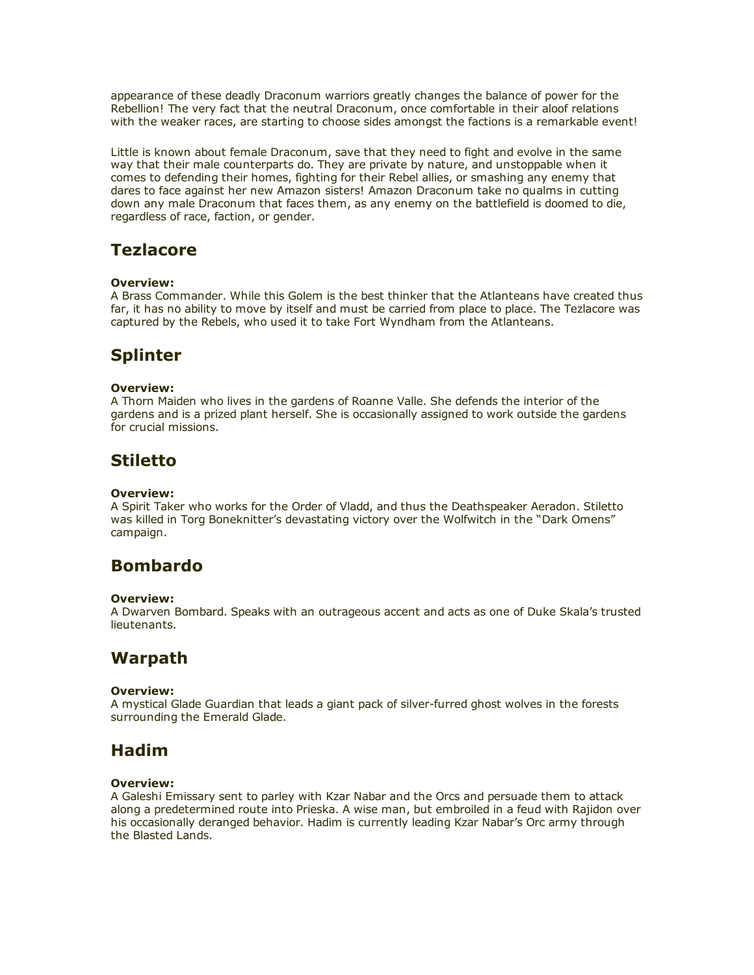appearance of these deadly Draconum warriors greatly changes the balance of power for the Rebellion! The very fact that the neutral Draconum, once comfortable in their aloof relations with the weaker races, are starting to choose sides amongst the factions is a remarkable event!

Little is known about female Draconum, save that they need to fight and evolve in the same way that their male counterparts do. They are private by nature, and unstoppable when it comes to defending their homes, fighting for their Rebel allies, or smashing any enemy that dares to face against her new Amazon sisters! Amazon Draconum take no qualms in cutting down any male Draconum that faces them, as any enemy on the battlefield is doomed to die, regardless of race, faction, or gender.

## **Tezlacore**

## Overview:

A Brass Commander. While this Golem is the best thinker that the Atlanteans have created thus far, it has no ability to move by itself and must be carried from place to place. The Tezlacore was captured by the Rebels, who used it to take Fort Wyndham from the Atlanteans.

# Splinter

## Overview:

A Thorn Maiden who lives in the gardens of Roanne Valle. She defends the interior of the gardens and is a prized plant herself. She is occasionally assigned to work outside the gardens for crucial missions.

## **Stiletto**

### Overview:

A Spirit Taker who works for the Order of Vladd, and thus the Deathspeaker Aeradon. Stiletto was killed in Torg Boneknitter's devastating victory over the Wolfwitch in the "Dark Omens" campaign.

# Bombardo

### Overview:

A Dwarven Bombard. Speaks with an outrageous accent and acts as one of Duke Skala's trusted lieutenants.

## **Warpath**

## Overview:

A mystical Glade Guardian that leads a giant pack of silver-furred ghost wolves in the forests surrounding the Emerald Glade.

## Hadim

### Overview:

A Galeshi Emissary sent to parley with Kzar Nabar and the Orcs and persuade them to attack along a predetermined route into Prieska. A wise man, but embroiled in a feud with Rajidon over his occasionally deranged behavior. Hadim is currently leading Kzar Nabar's Orc army through the Blasted Lands.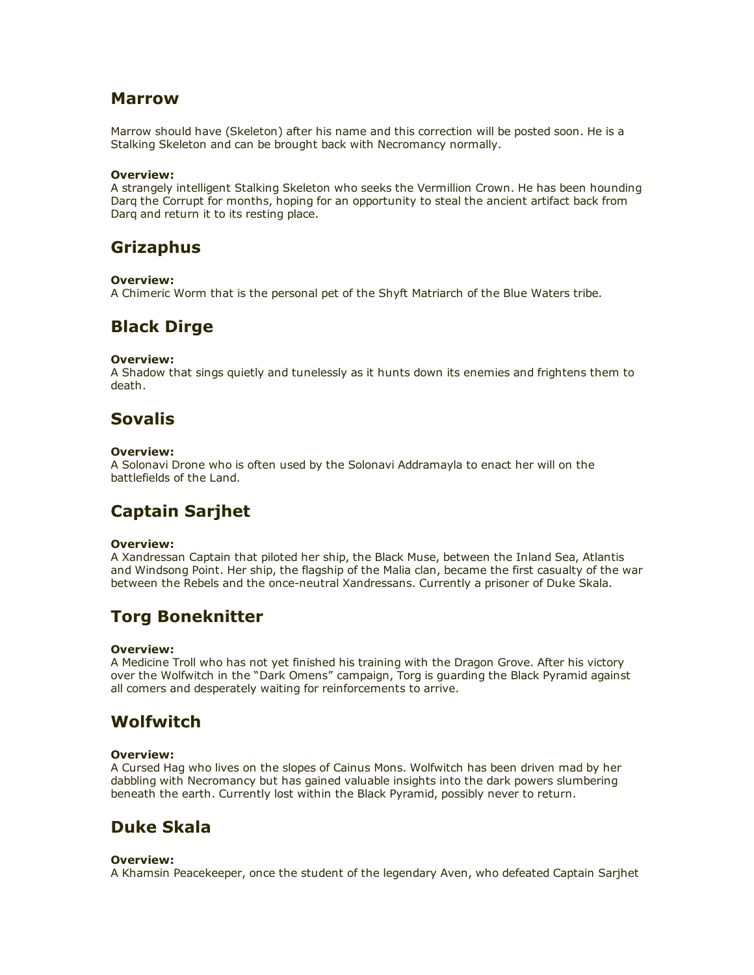## Marrow

Marrow should have (Skeleton) after his name and this correction will be posted soon. He is a Stalking Skeleton and can be brought back with Necromancy normally.

## Overview:

A strangely intelligent Stalking Skeleton who seeks the Vermillion Crown. He has been hounding Darq the Corrupt for months, hoping for an opportunity to steal the ancient artifact back from Darq and return it to its resting place.

## Grizaphus

## Overview:

A Chimeric Worm that is the personal pet of the Shyft Matriarch of the Blue Waters tribe.

## Black Dirge

## Overview:

A Shadow that sings quietly and tunelessly as it hunts down its enemies and frightens them to death.

# Sovalis

## Overview:

A Solonavi Drone who is often used by the Solonavi Addramayla to enact her will on the battlefields of the Land.

# Captain Sarjhet

## Overview:

A Xandressan Captain that piloted her ship, the Black Muse, between the Inland Sea, Atlantis and Windsong Point. Her ship, the flagship of the Malia clan, became the first casualty of the war between the Rebels and the once-neutral Xandressans. Currently a prisoner of Duke Skala.

# Torg Boneknitter

### Overview:

A Medicine Troll who has not yet finished his training with the Dragon Grove. After his victory over the Wolfwitch in the "Dark Omens" campaign, Torg is guarding the Black Pyramid against all comers and desperately waiting for reinforcements to arrive.

# **Wolfwitch**

## Overview:

A Cursed Hag who lives on the slopes of Cainus Mons. Wolfwitch has been driven mad by her dabbling with Necromancy but has gained valuable insights into the dark powers slumbering beneath the earth. Currently lost within the Black Pyramid, possibly never to return.

# Duke Skala

### Overview:

A Khamsin Peacekeeper, once the student of the legendary Aven, who defeated Captain Sarjhet